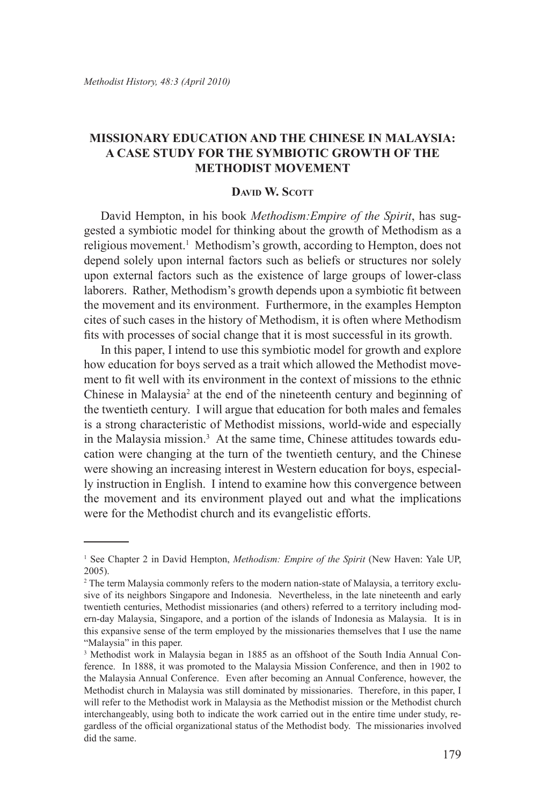# **Missionary Education and the Chinese in Malaysia: A Case Study for the Symbiotic Growth of the Methodist Movement**

## DAVID **W. SCOTT**

David Hempton, in his book *Methodism:Empire of the Spirit*, has suggested a symbiotic model for thinking about the growth of Methodism as a religious movement.<sup>1</sup> Methodism's growth, according to Hempton, does not depend solely upon internal factors such as beliefs or structures nor solely upon external factors such as the existence of large groups of lower-class laborers. Rather, Methodism's growth depends upon a symbiotic fit between the movement and its environment. Furthermore, in the examples Hempton cites of such cases in the history of Methodism, it is often where Methodism fits with processes of social change that it is most successful in its growth.

In this paper, I intend to use this symbiotic model for growth and explore how education for boys served as a trait which allowed the Methodist movement to fit well with its environment in the context of missions to the ethnic Chinese in Malaysia<sup>2</sup> at the end of the nineteenth century and beginning of the twentieth century. I will argue that education for both males and females is a strong characteristic of Methodist missions, world-wide and especially in the Malaysia mission.<sup>3</sup> At the same time, Chinese attitudes towards education were changing at the turn of the twentieth century, and the Chinese were showing an increasing interest in Western education for boys, especially instruction in English. I intend to examine how this convergence between the movement and its environment played out and what the implications were for the Methodist church and its evangelistic efforts.

<sup>&</sup>lt;sup>1</sup> See Chapter 2 in David Hempton, *Methodism: Empire of the Spirit* (New Haven: Yale UP, 2005).

<sup>&</sup>lt;sup>2</sup> The term Malaysia commonly refers to the modern nation-state of Malaysia, a territory exclusive of its neighbors Singapore and Indonesia. Nevertheless, in the late nineteenth and early twentieth centuries, Methodist missionaries (and others) referred to a territory including modern-day Malaysia, Singapore, and a portion of the islands of Indonesia as Malaysia. It is in this expansive sense of the term employed by the missionaries themselves that I use the name "Malaysia" in this paper.

<sup>&</sup>lt;sup>3</sup> Methodist work in Malaysia began in 1885 as an offshoot of the South India Annual Conference. In 1888, it was promoted to the Malaysia Mission Conference, and then in 1902 to the Malaysia Annual Conference. Even after becoming an Annual Conference, however, the Methodist church in Malaysia was still dominated by missionaries. Therefore, in this paper, I will refer to the Methodist work in Malaysia as the Methodist mission or the Methodist church interchangeably, using both to indicate the work carried out in the entire time under study, regardless of the official organizational status of the Methodist body. The missionaries involved did the same.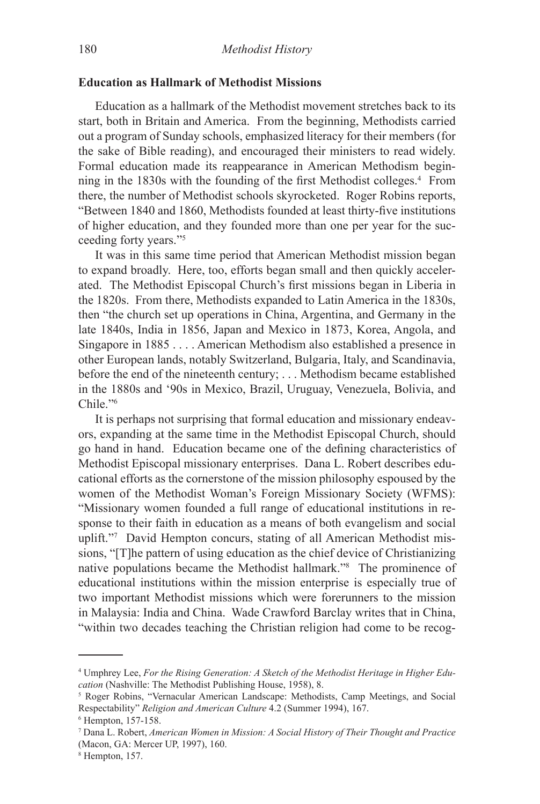## **Education as Hallmark of Methodist Missions**

Education as a hallmark of the Methodist movement stretches back to its start, both in Britain and America. From the beginning, Methodists carried out a program of Sunday schools, emphasized literacy for their members (for the sake of Bible reading), and encouraged their ministers to read widely. Formal education made its reappearance in American Methodism beginning in the 1830s with the founding of the first Methodist colleges.<sup>4</sup> From there, the number of Methodist schools skyrocketed. Roger Robins reports, "Between 1840 and 1860, Methodists founded at least thirty-five institutions of higher education, and they founded more than one per year for the succeeding forty years."

It was in this same time period that American Methodist mission began to expand broadly. Here, too, efforts began small and then quickly accelerated. The Methodist Episcopal Church's first missions began in Liberia in the 1820s. From there, Methodists expanded to Latin America in the 1830s, then "the church set up operations in China, Argentina, and Germany in the late 1840s, India in 1856, Japan and Mexico in 1873, Korea, Angola, and Singapore in 1885 . . . . American Methodism also established a presence in other European lands, notably Switzerland, Bulgaria, Italy, and Scandinavia, before the end of the nineteenth century; . . . Methodism became established in the 1880s and '90s in Mexico, Brazil, Uruguay, Venezuela, Bolivia, and Chile."

It is perhaps not surprising that formal education and missionary endeavors, expanding at the same time in the Methodist Episcopal Church, should go hand in hand. Education became one of the defining characteristics of Methodist Episcopal missionary enterprises. Dana L. Robert describes educational efforts as the cornerstone of the mission philosophy espoused by the women of the Methodist Woman's Foreign Missionary Society (WFMS): "Missionary women founded a full range of educational institutions in response to their faith in education as a means of both evangelism and social uplift."<sup>7</sup> David Hempton concurs, stating of all American Methodist missions, "[T]he pattern of using education as the chief device of Christianizing native populations became the Methodist hallmark."<sup>8</sup> The prominence of educational institutions within the mission enterprise is especially true of two important Methodist missions which were forerunners to the mission in Malaysia: India and China. Wade Crawford Barclay writes that in China, "within two decades teaching the Christian religion had come to be recog-

Umphrey Lee, *For the Rising Generation: A Sketch of the Methodist Heritage in Higher Education* (Nashville: The Methodist Publishing House, 1958), 8.

<sup>&</sup>lt;sup>5</sup> Roger Robins, "Vernacular American Landscape: Methodists, Camp Meetings, and Social Respectability" *Religion and American Culture* 4.2 (Summer 1994), 167.

Hempton, 157-158.

Dana L. Robert, *American Women in Mission: A Social History of Their Thought and Practice* (Macon, GA: Mercer UP, 1997), 160.

<sup>&</sup>lt;sup>8</sup> Hempton, 157.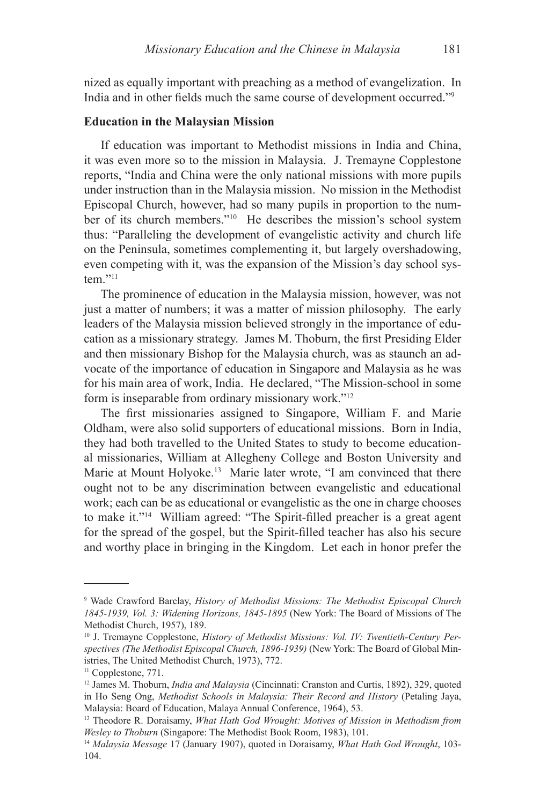nized as equally important with preaching as a method of evangelization. In India and in other fields much the same course of development occurred."

#### **Education in the Malaysian Mission**

If education was important to Methodist missions in India and China, it was even more so to the mission in Malaysia. J. Tremayne Copplestone reports, "India and China were the only national missions with more pupils under instruction than in the Malaysia mission. No mission in the Methodist Episcopal Church, however, had so many pupils in proportion to the number of its church members."<sup>10</sup> He describes the mission's school system thus: "Paralleling the development of evangelistic activity and church life on the Peninsula, sometimes complementing it, but largely overshadowing, even competing with it, was the expansion of the Mission's day school system."<sup>11</sup>

The prominence of education in the Malaysia mission, however, was not just a matter of numbers; it was a matter of mission philosophy. The early leaders of the Malaysia mission believed strongly in the importance of education as a missionary strategy. James M. Thoburn, the first Presiding Elder and then missionary Bishop for the Malaysia church, was as staunch an advocate of the importance of education in Singapore and Malaysia as he was for his main area of work, India. He declared, "The Mission-school in some form is inseparable from ordinary missionary work."12

The first missionaries assigned to Singapore, William F. and Marie Oldham, were also solid supporters of educational missions. Born in India, they had both travelled to the United States to study to become educational missionaries, William at Allegheny College and Boston University and Marie at Mount Holyoke.<sup>13</sup> Marie later wrote, "I am convinced that there ought not to be any discrimination between evangelistic and educational work; each can be as educational or evangelistic as the one in charge chooses to make it."14 William agreed: "The Spirit-filled preacher is a great agent for the spread of the gospel, but the Spirit-filled teacher has also his secure and worthy place in bringing in the Kingdom. Let each in honor prefer the

Wade Crawford Barclay, *History of Methodist Missions: The Methodist Episcopal Church 1845-1939, Vol. 3: Widening Horizons, 1845-1895* (New York: The Board of Missions of The Methodist Church, 1957), 189.

<sup>&</sup>lt;sup>10</sup> J. Tremayne Copplestone, *History of Methodist Missions: Vol. IV: Twentieth-Century Perspectives (The Methodist Episcopal Church, 1896-1939)* (New York: The Board of Global Ministries, The United Methodist Church, 1973), 772.

<sup>&</sup>lt;sup>11</sup> Copplestone, 771.

<sup>12</sup> James M. Thoburn, *India and Malaysia* (Cincinnati: Cranston and Curtis, 1892), 329, quoted in Ho Seng Ong, *Methodist Schools in Malaysia: Their Record and History* (Petaling Jaya, Malaysia: Board of Education, Malaya Annual Conference, 1964), 53.

<sup>13</sup> Theodore R. Doraisamy, *What Hath God Wrought: Motives of Mission in Methodism from Wesley to Thoburn* (Singapore: The Methodist Book Room, 1983), 101.

<sup>14</sup> *Malaysia Message* 17 (January 1907), quoted in Doraisamy, *What Hath God Wrought*, 103- 104.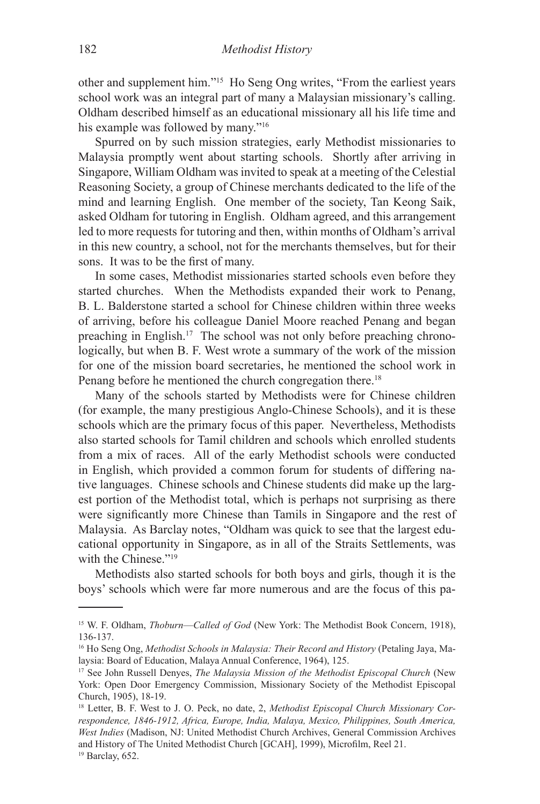other and supplement him."15 Ho Seng Ong writes, "From the earliest years school work was an integral part of many a Malaysian missionary's calling. Oldham described himself as an educational missionary all his life time and his example was followed by many."16

Spurred on by such mission strategies, early Methodist missionaries to Malaysia promptly went about starting schools. Shortly after arriving in Singapore, William Oldham was invited to speak at a meeting of the Celestial Reasoning Society, a group of Chinese merchants dedicated to the life of the mind and learning English. One member of the society, Tan Keong Saik, asked Oldham for tutoring in English. Oldham agreed, and this arrangement led to more requests for tutoring and then, within months of Oldham's arrival in this new country, a school, not for the merchants themselves, but for their sons. It was to be the first of many.

In some cases, Methodist missionaries started schools even before they started churches. When the Methodists expanded their work to Penang, B. L. Balderstone started a school for Chinese children within three weeks of arriving, before his colleague Daniel Moore reached Penang and began preaching in English.17 The school was not only before preaching chronologically, but when B. F. West wrote a summary of the work of the mission for one of the mission board secretaries, he mentioned the school work in Penang before he mentioned the church congregation there.<sup>18</sup>

Many of the schools started by Methodists were for Chinese children (for example, the many prestigious Anglo-Chinese Schools), and it is these schools which are the primary focus of this paper. Nevertheless, Methodists also started schools for Tamil children and schools which enrolled students from a mix of races. All of the early Methodist schools were conducted in English, which provided a common forum for students of differing native languages. Chinese schools and Chinese students did make up the largest portion of the Methodist total, which is perhaps not surprising as there were significantly more Chinese than Tamils in Singapore and the rest of Malaysia. As Barclay notes, "Oldham was quick to see that the largest educational opportunity in Singapore, as in all of the Straits Settlements, was with the Chinese."<sup>19</sup>

Methodists also started schools for both boys and girls, though it is the boys' schools which were far more numerous and are the focus of this pa-

<sup>&</sup>lt;sup>15</sup> W. F. Oldham, *Thoburn—Called of God* (New York: The Methodist Book Concern, 1918), 136-137.

<sup>16</sup> Ho Seng Ong, *Methodist Schools in Malaysia: Their Record and History* (Petaling Jaya, Malaysia: Board of Education, Malaya Annual Conference, 1964), 125.

<sup>17</sup> See John Russell Denyes, *The Malaysia Mission of the Methodist Episcopal Church* (New York: Open Door Emergency Commission, Missionary Society of the Methodist Episcopal Church, 1905), 18-19.

<sup>18</sup> Letter, B. F. West to J. O. Peck, no date, 2, *Methodist Episcopal Church Missionary Correspondence, 1846-1912, Africa, Europe, India, Malaya, Mexico, Philippines, South America, West Indies* (Madison, NJ: United Methodist Church Archives, General Commission Archives and History of The United Methodist Church [GCAH], 1999), Microfilm, Reel 21.

<sup>19</sup> Barclay, 652.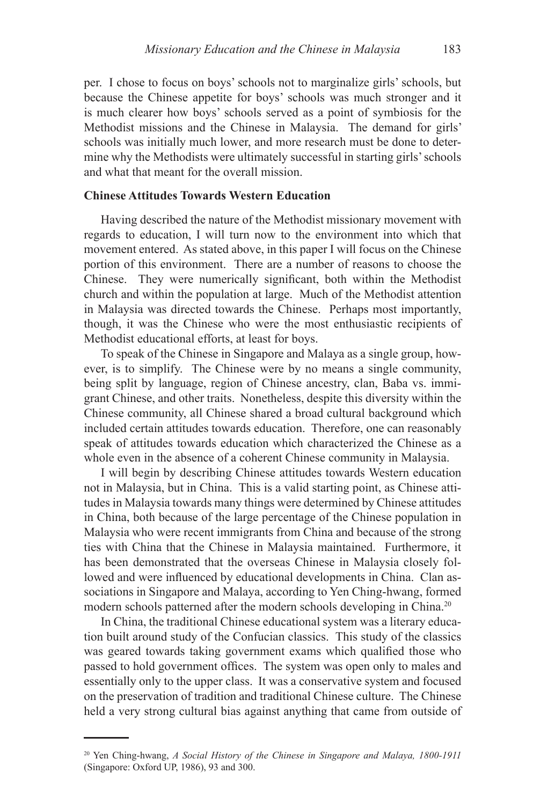per. I chose to focus on boys' schools not to marginalize girls' schools, but because the Chinese appetite for boys' schools was much stronger and it is much clearer how boys' schools served as a point of symbiosis for the Methodist missions and the Chinese in Malaysia. The demand for girls' schools was initially much lower, and more research must be done to determine why the Methodists were ultimately successful in starting girls' schools and what that meant for the overall mission.

## **Chinese Attitudes Towards Western Education**

Having described the nature of the Methodist missionary movement with regards to education, I will turn now to the environment into which that movement entered. As stated above, in this paper I will focus on the Chinese portion of this environment. There are a number of reasons to choose the Chinese. They were numerically significant, both within the Methodist church and within the population at large. Much of the Methodist attention in Malaysia was directed towards the Chinese. Perhaps most importantly, though, it was the Chinese who were the most enthusiastic recipients of Methodist educational efforts, at least for boys.

To speak of the Chinese in Singapore and Malaya as a single group, however, is to simplify. The Chinese were by no means a single community, being split by language, region of Chinese ancestry, clan, Baba vs. immigrant Chinese, and other traits. Nonetheless, despite this diversity within the Chinese community, all Chinese shared a broad cultural background which included certain attitudes towards education. Therefore, one can reasonably speak of attitudes towards education which characterized the Chinese as a whole even in the absence of a coherent Chinese community in Malaysia.

I will begin by describing Chinese attitudes towards Western education not in Malaysia, but in China. This is a valid starting point, as Chinese attitudes in Malaysia towards many things were determined by Chinese attitudes in China, both because of the large percentage of the Chinese population in Malaysia who were recent immigrants from China and because of the strong ties with China that the Chinese in Malaysia maintained. Furthermore, it has been demonstrated that the overseas Chinese in Malaysia closely followed and were influenced by educational developments in China. Clan associations in Singapore and Malaya, according to Yen Ching-hwang, formed modern schools patterned after the modern schools developing in China.<sup>20</sup>

In China, the traditional Chinese educational system was a literary education built around study of the Confucian classics. This study of the classics was geared towards taking government exams which qualified those who passed to hold government offices. The system was open only to males and essentially only to the upper class. It was a conservative system and focused on the preservation of tradition and traditional Chinese culture. The Chinese held a very strong cultural bias against anything that came from outside of

<sup>20</sup> Yen Ching-hwang, *A Social History of the Chinese in Singapore and Malaya, 1800-1911* (Singapore: Oxford UP, 1986), 93 and 300.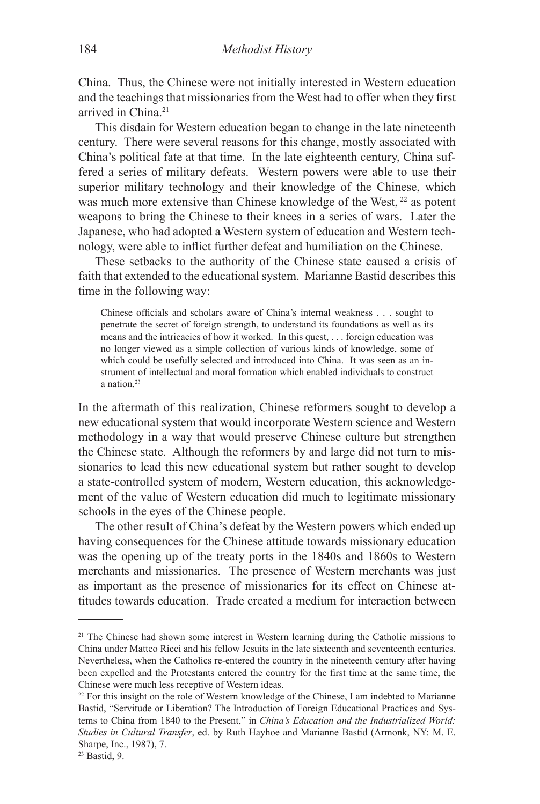China. Thus, the Chinese were not initially interested in Western education and the teachings that missionaries from the West had to offer when they first arrived in China<sup>21</sup>

This disdain for Western education began to change in the late nineteenth century. There were several reasons for this change, mostly associated with China's political fate at that time. In the late eighteenth century, China suffered a series of military defeats. Western powers were able to use their superior military technology and their knowledge of the Chinese, which was much more extensive than Chinese knowledge of the West, <sup>22</sup> as potent weapons to bring the Chinese to their knees in a series of wars. Later the Japanese, who had adopted a Western system of education and Western technology, were able to inflict further defeat and humiliation on the Chinese.

These setbacks to the authority of the Chinese state caused a crisis of faith that extended to the educational system. Marianne Bastid describes this time in the following way:

Chinese officials and scholars aware of China's internal weakness . . . sought to penetrate the secret of foreign strength, to understand its foundations as well as its means and the intricacies of how it worked. In this quest, . . . foreign education was no longer viewed as a simple collection of various kinds of knowledge, some of which could be usefully selected and introduced into China. It was seen as an instrument of intellectual and moral formation which enabled individuals to construct a nation.23

In the aftermath of this realization, Chinese reformers sought to develop a new educational system that would incorporate Western science and Western methodology in a way that would preserve Chinese culture but strengthen the Chinese state. Although the reformers by and large did not turn to missionaries to lead this new educational system but rather sought to develop a state-controlled system of modern, Western education, this acknowledgement of the value of Western education did much to legitimate missionary schools in the eyes of the Chinese people.

The other result of China's defeat by the Western powers which ended up having consequences for the Chinese attitude towards missionary education was the opening up of the treaty ports in the 1840s and 1860s to Western merchants and missionaries. The presence of Western merchants was just as important as the presence of missionaries for its effect on Chinese attitudes towards education. Trade created a medium for interaction between

<sup>&</sup>lt;sup>21</sup> The Chinese had shown some interest in Western learning during the Catholic missions to China under Matteo Ricci and his fellow Jesuits in the late sixteenth and seventeenth centuries. Nevertheless, when the Catholics re-entered the country in the nineteenth century after having been expelled and the Protestants entered the country for the first time at the same time, the Chinese were much less receptive of Western ideas.

 $22$  For this insight on the role of Western knowledge of the Chinese, I am indebted to Marianne Bastid, "Servitude or Liberation? The Introduction of Foreign Educational Practices and Systems to China from 1840 to the Present," in *China's Education and the Industrialized World: Studies in Cultural Transfer*, ed. by Ruth Hayhoe and Marianne Bastid (Armonk, NY: M. E. Sharpe, Inc., 1987), 7.

<sup>23</sup> Bastid, 9.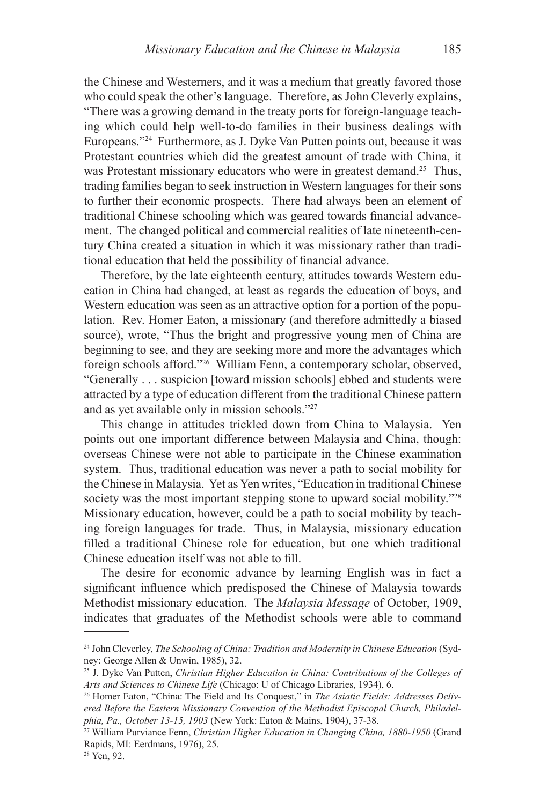the Chinese and Westerners, and it was a medium that greatly favored those who could speak the other's language. Therefore, as John Cleverly explains, "There was a growing demand in the treaty ports for foreign-language teaching which could help well-to-do families in their business dealings with Europeans."24 Furthermore, as J. Dyke Van Putten points out, because it was Protestant countries which did the greatest amount of trade with China, it was Protestant missionary educators who were in greatest demand.<sup>25</sup> Thus, trading families began to seek instruction in Western languages for their sons to further their economic prospects. There had always been an element of traditional Chinese schooling which was geared towards financial advancement. The changed political and commercial realities of late nineteenth-century China created a situation in which it was missionary rather than traditional education that held the possibility of financial advance.

Therefore, by the late eighteenth century, attitudes towards Western education in China had changed, at least as regards the education of boys, and Western education was seen as an attractive option for a portion of the population. Rev. Homer Eaton, a missionary (and therefore admittedly a biased source), wrote, "Thus the bright and progressive young men of China are beginning to see, and they are seeking more and more the advantages which foreign schools afford."26 William Fenn, a contemporary scholar, observed, "Generally . . . suspicion [toward mission schools] ebbed and students were attracted by a type of education different from the traditional Chinese pattern and as yet available only in mission schools."27

This change in attitudes trickled down from China to Malaysia. Yen points out one important difference between Malaysia and China, though: overseas Chinese were not able to participate in the Chinese examination system. Thus, traditional education was never a path to social mobility for the Chinese in Malaysia. Yet as Yen writes, "Education in traditional Chinese society was the most important stepping stone to upward social mobility."<sup>28</sup> Missionary education, however, could be a path to social mobility by teaching foreign languages for trade. Thus, in Malaysia, missionary education filled a traditional Chinese role for education, but one which traditional Chinese education itself was not able to fill.

The desire for economic advance by learning English was in fact a significant influence which predisposed the Chinese of Malaysia towards Methodist missionary education. The *Malaysia Message* of October, 1909, indicates that graduates of the Methodist schools were able to command

<sup>24</sup> John Cleverley, *The Schooling of China: Tradition and Modernity in Chinese Education* (Sydney: George Allen & Unwin, 1985), 32.

<sup>25</sup> J. Dyke Van Putten, *Christian Higher Education in China: Contributions of the Colleges of Arts and Sciences to Chinese Life* (Chicago: U of Chicago Libraries, 1934), 6.

<sup>26</sup> Homer Eaton, "China: The Field and Its Conquest," in *The Asiatic Fields: Addresses Delivered Before the Eastern Missionary Convention of the Methodist Episcopal Church, Philadelphia, Pa., October 13-15, 1903* (New York: Eaton & Mains, 1904), 37-38.

<sup>27</sup> William Purviance Fenn, *Christian Higher Education in Changing China, 1880-1950* (Grand Rapids, MI: Eerdmans, 1976), 25.

<sup>28</sup> Yen, 92.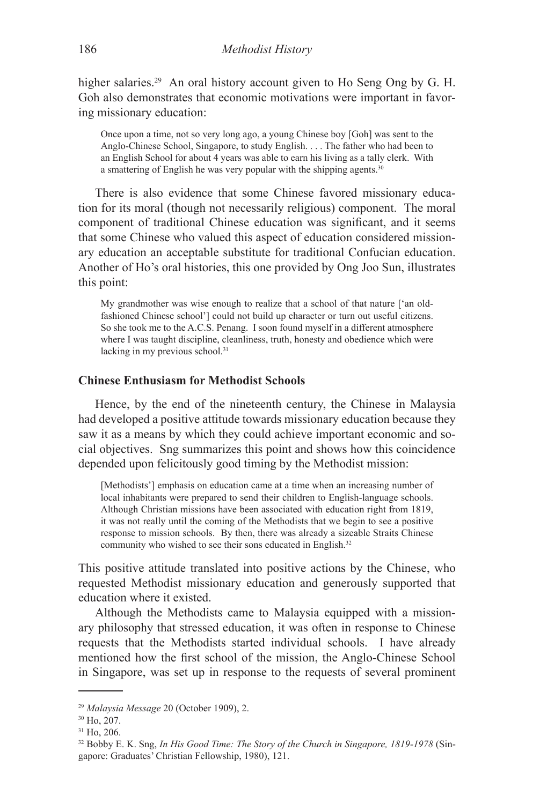higher salaries.<sup>29</sup> An oral history account given to Ho Seng Ong by G. H. Goh also demonstrates that economic motivations were important in favoring missionary education:

Once upon a time, not so very long ago, a young Chinese boy [Goh] was sent to the Anglo-Chinese School, Singapore, to study English. . . . The father who had been to an English School for about 4 years was able to earn his living as a tally clerk. With a smattering of English he was very popular with the shipping agents.<sup>30</sup>

There is also evidence that some Chinese favored missionary education for its moral (though not necessarily religious) component. The moral component of traditional Chinese education was significant, and it seems that some Chinese who valued this aspect of education considered missionary education an acceptable substitute for traditional Confucian education. Another of Ho's oral histories, this one provided by Ong Joo Sun, illustrates this point:

My grandmother was wise enough to realize that a school of that nature ['an oldfashioned Chinese school'] could not build up character or turn out useful citizens. So she took me to the A.C.S. Penang. I soon found myself in a different atmosphere where I was taught discipline, cleanliness, truth, honesty and obedience which were lacking in my previous school.<sup>31</sup>

## **Chinese Enthusiasm for Methodist Schools**

Hence, by the end of the nineteenth century, the Chinese in Malaysia had developed a positive attitude towards missionary education because they saw it as a means by which they could achieve important economic and social objectives. Sng summarizes this point and shows how this coincidence depended upon felicitously good timing by the Methodist mission:

[Methodists'] emphasis on education came at a time when an increasing number of local inhabitants were prepared to send their children to English-language schools. Although Christian missions have been associated with education right from 1819, it was not really until the coming of the Methodists that we begin to see a positive response to mission schools. By then, there was already a sizeable Straits Chinese community who wished to see their sons educated in English.<sup>32</sup>

This positive attitude translated into positive actions by the Chinese, who requested Methodist missionary education and generously supported that education where it existed.

Although the Methodists came to Malaysia equipped with a missionary philosophy that stressed education, it was often in response to Chinese requests that the Methodists started individual schools. I have already mentioned how the first school of the mission, the Anglo-Chinese School in Singapore, was set up in response to the requests of several prominent

<sup>29</sup> *Malaysia Message* 20 (October 1909), 2.

<sup>&</sup>lt;sup>30</sup> Ho, 207.

<sup>31</sup> Ho, 206.

<sup>32</sup> Bobby E. K. Sng, *In His Good Time: The Story of the Church in Singapore, 1819-1978* (Singapore: Graduates' Christian Fellowship, 1980), 121.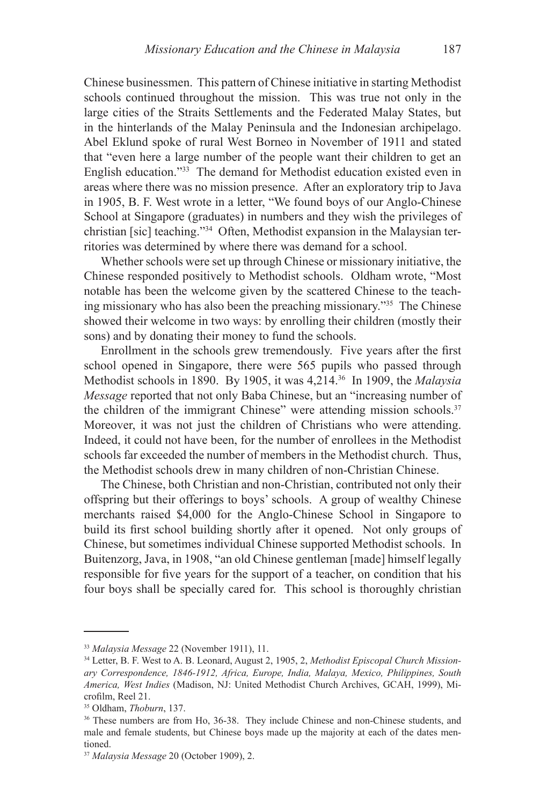Chinese businessmen. This pattern of Chinese initiative in starting Methodist schools continued throughout the mission. This was true not only in the large cities of the Straits Settlements and the Federated Malay States, but in the hinterlands of the Malay Peninsula and the Indonesian archipelago. Abel Eklund spoke of rural West Borneo in November of 1911 and stated that "even here a large number of the people want their children to get an English education."33 The demand for Methodist education existed even in areas where there was no mission presence. After an exploratory trip to Java in 1905, B. F. West wrote in a letter, "We found boys of our Anglo-Chinese School at Singapore (graduates) in numbers and they wish the privileges of christian [sic] teaching."34 Often, Methodist expansion in the Malaysian territories was determined by where there was demand for a school.

Whether schools were set up through Chinese or missionary initiative, the Chinese responded positively to Methodist schools. Oldham wrote, "Most notable has been the welcome given by the scattered Chinese to the teaching missionary who has also been the preaching missionary."35 The Chinese showed their welcome in two ways: by enrolling their children (mostly their sons) and by donating their money to fund the schools.

Enrollment in the schools grew tremendously. Five years after the first school opened in Singapore, there were 565 pupils who passed through Methodist schools in 1890. By 1905, it was 4,214.36 In 1909, the *Malaysia Message* reported that not only Baba Chinese, but an "increasing number of the children of the immigrant Chinese" were attending mission schools.<sup>37</sup> Moreover, it was not just the children of Christians who were attending. Indeed, it could not have been, for the number of enrollees in the Methodist schools far exceeded the number of members in the Methodist church. Thus, the Methodist schools drew in many children of non-Christian Chinese.

The Chinese, both Christian and non-Christian, contributed not only their offspring but their offerings to boys' schools. A group of wealthy Chinese merchants raised \$4,000 for the Anglo-Chinese School in Singapore to build its first school building shortly after it opened. Not only groups of Chinese, but sometimes individual Chinese supported Methodist schools. In Buitenzorg, Java, in 1908, "an old Chinese gentleman [made] himself legally responsible for five years for the support of a teacher, on condition that his four boys shall be specially cared for. This school is thoroughly christian

<sup>33</sup> *Malaysia Message* 22 (November 1911), 11.

<sup>34</sup> Letter, B. F. West to A. B. Leonard, August 2, 1905, 2, *Methodist Episcopal Church Missionary Correspondence, 1846-1912, Africa, Europe, India, Malaya, Mexico, Philippines, South America, West Indies* (Madison, NJ: United Methodist Church Archives, GCAH, 1999), Microfilm, Reel 21.

<sup>35</sup> Oldham, *Thoburn*, 137.

<sup>36</sup> These numbers are from Ho, 36-38. They include Chinese and non-Chinese students, and male and female students, but Chinese boys made up the majority at each of the dates mentioned.

<sup>37</sup> *Malaysia Message* 20 (October 1909), 2.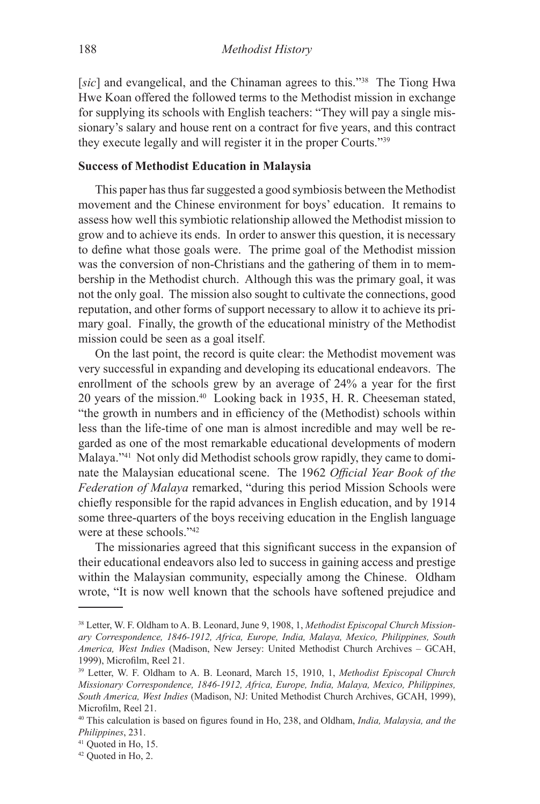[*sic*] and evangelical, and the Chinaman agrees to this."<sup>38</sup> The Tiong Hwa Hwe Koan offered the followed terms to the Methodist mission in exchange for supplying its schools with English teachers: "They will pay a single missionary's salary and house rent on a contract for five years, and this contract they execute legally and will register it in the proper Courts."39

## **Success of Methodist Education in Malaysia**

This paper has thus far suggested a good symbiosis between the Methodist movement and the Chinese environment for boys' education. It remains to assess how well this symbiotic relationship allowed the Methodist mission to grow and to achieve its ends. In order to answer this question, it is necessary to define what those goals were. The prime goal of the Methodist mission was the conversion of non-Christians and the gathering of them in to membership in the Methodist church. Although this was the primary goal, it was not the only goal. The mission also sought to cultivate the connections, good reputation, and other forms of support necessary to allow it to achieve its primary goal. Finally, the growth of the educational ministry of the Methodist mission could be seen as a goal itself.

On the last point, the record is quite clear: the Methodist movement was very successful in expanding and developing its educational endeavors. The enrollment of the schools grew by an average of 24% a year for the first 20 years of the mission.40 Looking back in 1935, H. R. Cheeseman stated, "the growth in numbers and in efficiency of the (Methodist) schools within less than the life-time of one man is almost incredible and may well be regarded as one of the most remarkable educational developments of modern Malaya."<sup>41</sup> Not only did Methodist schools grow rapidly, they came to dominate the Malaysian educational scene. The 1962 *Official Year Book of the Federation of Malaya* remarked, "during this period Mission Schools were chiefly responsible for the rapid advances in English education, and by 1914 some three-quarters of the boys receiving education in the English language were at these schools."42

The missionaries agreed that this significant success in the expansion of their educational endeavors also led to success in gaining access and prestige within the Malaysian community, especially among the Chinese. Oldham wrote, "It is now well known that the schools have softened prejudice and

<sup>38</sup> Letter, W. F. Oldham to A. B. Leonard, June 9, 1908, 1, *Methodist Episcopal Church Missionary Correspondence, 1846-1912, Africa, Europe, India, Malaya, Mexico, Philippines, South America, West Indies* (Madison, New Jersey: United Methodist Church Archives – GCAH, 1999), Microfilm, Reel 21.

<sup>39</sup> Letter, W. F. Oldham to A. B. Leonard, March 15, 1910, 1, *Methodist Episcopal Church Missionary Correspondence, 1846-1912, Africa, Europe, India, Malaya, Mexico, Philippines, South America, West Indies* (Madison, NJ: United Methodist Church Archives, GCAH, 1999), Microfilm, Reel 21.

<sup>40</sup> This calculation is based on figures found in Ho, 238, and Oldham, *India, Malaysia, and the Philippines*, 231.

<sup>41</sup> Quoted in Ho, 15.

<sup>42</sup> Quoted in Ho, 2.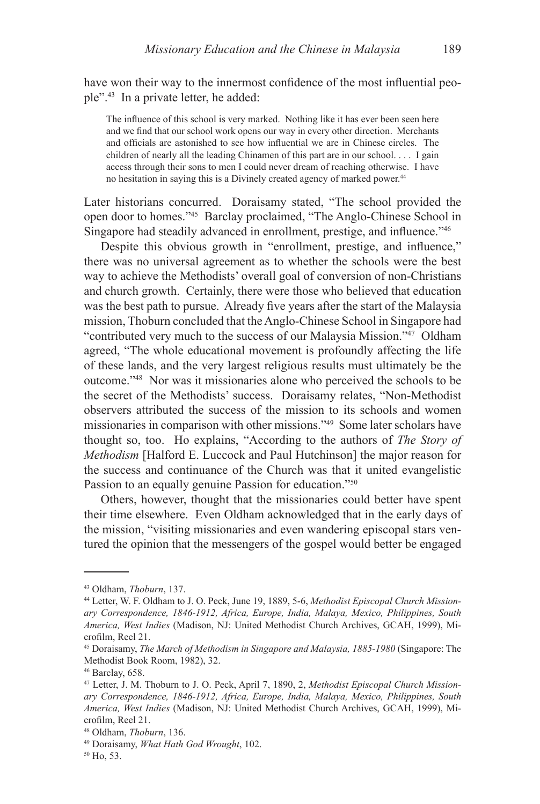have won their way to the innermost confidence of the most influential people".43 In a private letter, he added:

The influence of this school is very marked. Nothing like it has ever been seen here and we find that our school work opens our way in every other direction. Merchants and officials are astonished to see how influential we are in Chinese circles. The children of nearly all the leading Chinamen of this part are in our school. . . . I gain access through their sons to men I could never dream of reaching otherwise. I have no hesitation in saying this is a Divinely created agency of marked power.<sup>44</sup>

Later historians concurred. Doraisamy stated, "The school provided the open door to homes."45 Barclay proclaimed, "The Anglo-Chinese School in Singapore had steadily advanced in enrollment, prestige, and influence."<sup>46</sup>

Despite this obvious growth in "enrollment, prestige, and influence," there was no universal agreement as to whether the schools were the best way to achieve the Methodists' overall goal of conversion of non-Christians and church growth. Certainly, there were those who believed that education was the best path to pursue. Already five years after the start of the Malaysia mission, Thoburn concluded that the Anglo-Chinese School in Singapore had "contributed very much to the success of our Malaysia Mission."47 Oldham agreed, "The whole educational movement is profoundly affecting the life of these lands, and the very largest religious results must ultimately be the outcome."48 Nor was it missionaries alone who perceived the schools to be the secret of the Methodists' success. Doraisamy relates, "Non-Methodist observers attributed the success of the mission to its schools and women missionaries in comparison with other missions."49 Some later scholars have thought so, too. Ho explains, "According to the authors of *The Story of Methodism* [Halford E. Luccock and Paul Hutchinson] the major reason for the success and continuance of the Church was that it united evangelistic Passion to an equally genuine Passion for education."50

Others, however, thought that the missionaries could better have spent their time elsewhere. Even Oldham acknowledged that in the early days of the mission, "visiting missionaries and even wandering episcopal stars ventured the opinion that the messengers of the gospel would better be engaged

<sup>43</sup> Oldham, *Thoburn*, 137.

<sup>44</sup> Letter, W. F. Oldham to J. O. Peck, June 19, 1889, 5-6, *Methodist Episcopal Church Missionary Correspondence, 1846-1912, Africa, Europe, India, Malaya, Mexico, Philippines, South America, West Indies* (Madison, NJ: United Methodist Church Archives, GCAH, 1999), Microfilm, Reel 21.

<sup>45</sup> Doraisamy, *The March of Methodism in Singapore and Malaysia, 1885-1980* (Singapore: The Methodist Book Room, 1982), 32.

<sup>46</sup> Barclay, 658.

<sup>47</sup> Letter, J. M. Thoburn to J. O. Peck, April 7, 1890, 2, *Methodist Episcopal Church Missionary Correspondence, 1846-1912, Africa, Europe, India, Malaya, Mexico, Philippines, South America, West Indies* (Madison, NJ: United Methodist Church Archives, GCAH, 1999), Microfilm, Reel 21.

<sup>48</sup> Oldham, *Thoburn*, 136.

<sup>49</sup> Doraisamy, *What Hath God Wrought*, 102.

<sup>50</sup> Ho, 53.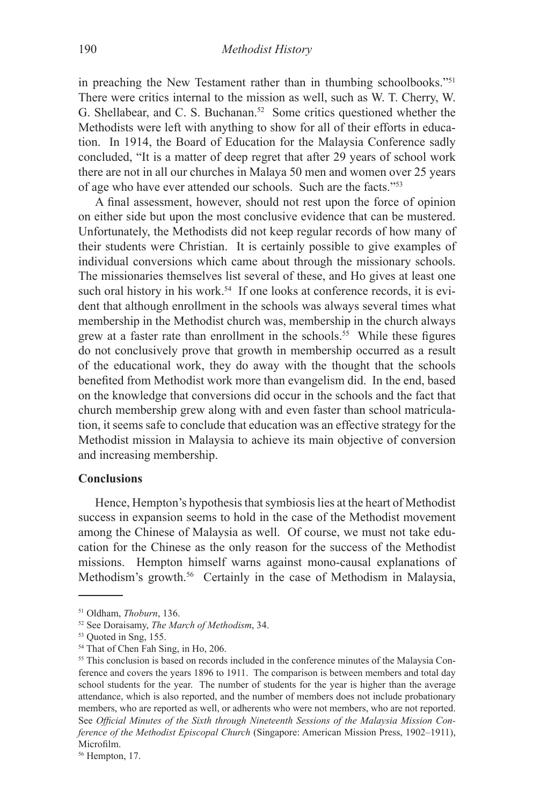in preaching the New Testament rather than in thumbing schoolbooks."51 There were critics internal to the mission as well, such as W. T. Cherry, W. G. Shellabear, and C. S. Buchanan.<sup>52</sup> Some critics questioned whether the Methodists were left with anything to show for all of their efforts in education. In 1914, the Board of Education for the Malaysia Conference sadly concluded, "It is a matter of deep regret that after 29 years of school work there are not in all our churches in Malaya 50 men and women over 25 years of age who have ever attended our schools. Such are the facts."53

A final assessment, however, should not rest upon the force of opinion on either side but upon the most conclusive evidence that can be mustered. Unfortunately, the Methodists did not keep regular records of how many of their students were Christian. It is certainly possible to give examples of individual conversions which came about through the missionary schools. The missionaries themselves list several of these, and Ho gives at least one such oral history in his work.<sup>54</sup> If one looks at conference records, it is evident that although enrollment in the schools was always several times what membership in the Methodist church was, membership in the church always grew at a faster rate than enrollment in the schools.55 While these figures do not conclusively prove that growth in membership occurred as a result of the educational work, they do away with the thought that the schools benefited from Methodist work more than evangelism did. In the end, based on the knowledge that conversions did occur in the schools and the fact that church membership grew along with and even faster than school matriculation, it seems safe to conclude that education was an effective strategy for the Methodist mission in Malaysia to achieve its main objective of conversion and increasing membership.

#### **Conclusions**

Hence, Hempton's hypothesis that symbiosis lies at the heart of Methodist success in expansion seems to hold in the case of the Methodist movement among the Chinese of Malaysia as well. Of course, we must not take education for the Chinese as the only reason for the success of the Methodist missions. Hempton himself warns against mono-causal explanations of Methodism's growth.<sup>56</sup> Certainly in the case of Methodism in Malaysia,

<sup>51</sup> Oldham, *Thoburn*, 136.

<sup>52</sup> See Doraisamy, *The March of Methodism*, 34.

<sup>53</sup> Quoted in Sng, 155.

<sup>54</sup> That of Chen Fah Sing, in Ho, 206.

<sup>&</sup>lt;sup>55</sup> This conclusion is based on records included in the conference minutes of the Malaysia Conference and covers the years 1896 to 1911. The comparison is between members and total day school students for the year. The number of students for the year is higher than the average attendance, which is also reported, and the number of members does not include probationary members, who are reported as well, or adherents who were not members, who are not reported. See *Official Minutes of the Sixth through Nineteenth Sessions of the Malaysia Mission Conference of the Methodist Episcopal Church* (Singapore: American Mission Press, 1902–1911), Microfilm.

<sup>56</sup> Hempton, 17.